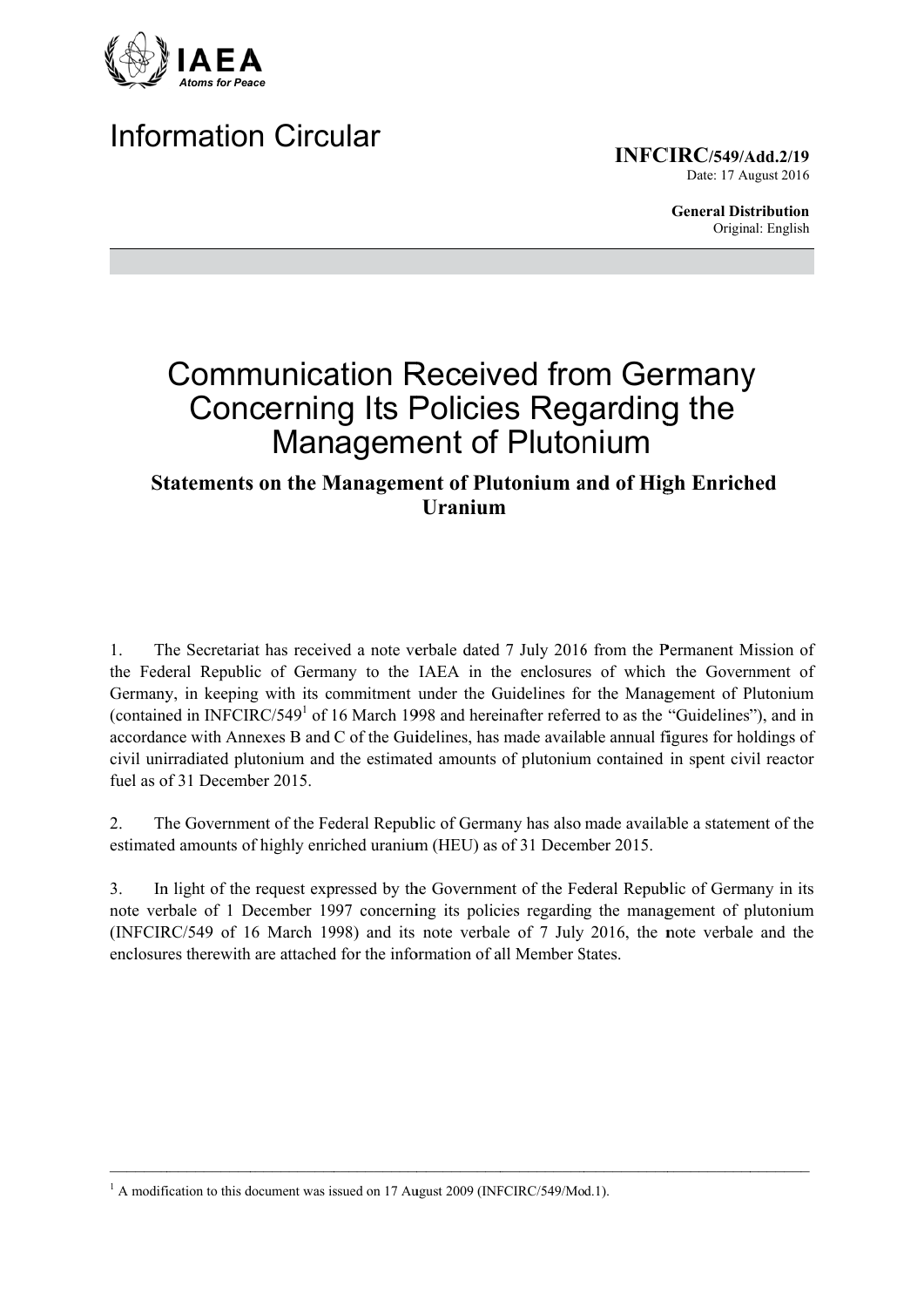

# **Information Circular**

**INFCIRC/549/Add.2/19** 

Date: 17 August 2016

**General Distribution** Original: English

# **Communication Received from Germany Concerning Its Policies Regarding the Management of Plutonium**

## **Statements on the Management of Plutonium and of High Enriched Uranium**

The Secretariat has received a note verbale dated 7 July 2016 from the Permanent Mission of  $\mathbf{1}$ the Federal Republic of Germany to the IAEA in the enclosures of which the Government of Germany, in keeping with its commitment under the Guidelines for the Management of Plutonium (contained in INFCIRC/549<sup>1</sup> of 16 March 1998 and hereinafter referred to as the "Guidelines"), and in accordance with Annexes B and C of the Guidelines, has made available annual figures for holdings of civil unirradiated plutonium and the estimated amounts of plutonium contained in spent civil reactor fuel as of 31 December 2015

The Government of the Federal Republic of Germany has also made available a statement of the 2. estimated amounts of highly enriched uranium (HEU) as of 31 December 2015.

 $3<sub>1</sub>$ In light of the request expressed by the Government of the Federal Republic of Germany in its note verbale of 1 December 1997 concerning its policies regarding the management of plutonium (INFCIRC/549 of 16 March 1998) and its note verbale of 7 July 2016, the note verbale and the enclosures therewith are attached for the information of all Member States.

 $1$  A modification to this document was issued on 17 August 2009 (INFCIRC/549/Mod.1).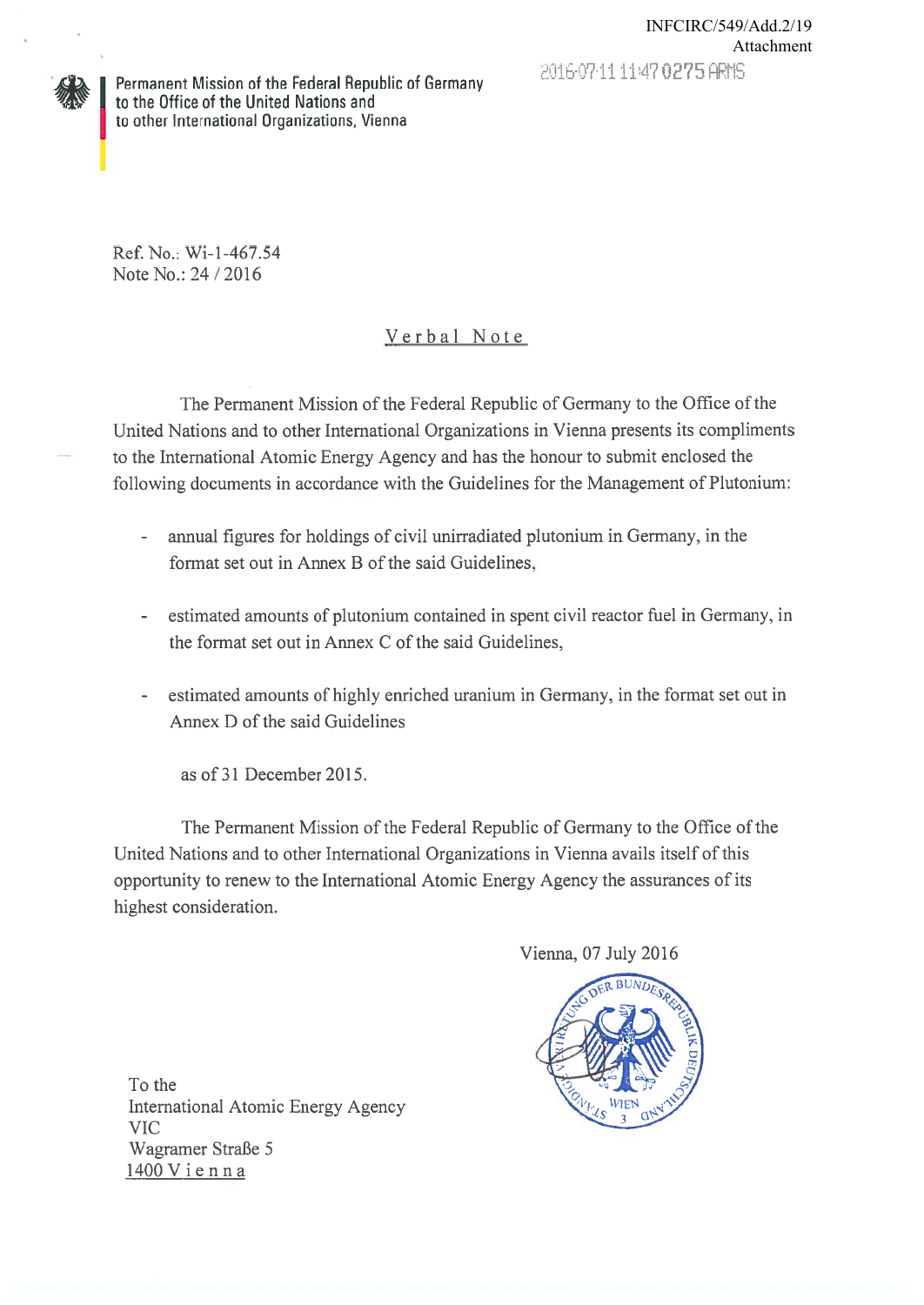

Ref. No.: Wi-1-467.54 Note No.: 24 / 2016

# Verbal Note

The Permanent Mission of the Federal Republic of Germany to the Office of the United Nations and to other International Organizations in Vienna presents its compliments to the International Atomic Energy Agency and has the honour to submit enclosed the following documents in accordance with the Guidelines for the Management of Plutonium:

- annual figures for holdings of civil unirradiated plutonium in Germany, in the  $\omega$  . format set out in Annex B of the said Guidelines,
- estimated amounts of plutonium contained in spent civil reactor fuel in Germany, in  $\sim$   $$ the format set out in Annex C of the said Guidelines,
- estimated amounts of highly enriched uranium in Germany, in the format set out in Annex D of the said Guidelines

as of 31 December 2015.

The Permanent Mission of the Federal Republic of Germany to the Office of the United Nations and to other International Organizations in Vienna avails itself of this opportunity to renew to the International Atomic Energy Agency the assurances of its highest consideration.

Vienna, 07 July 2016



To the International Atomic Energy Agency **VIC** Wagramer Straße 5 1400 Vienna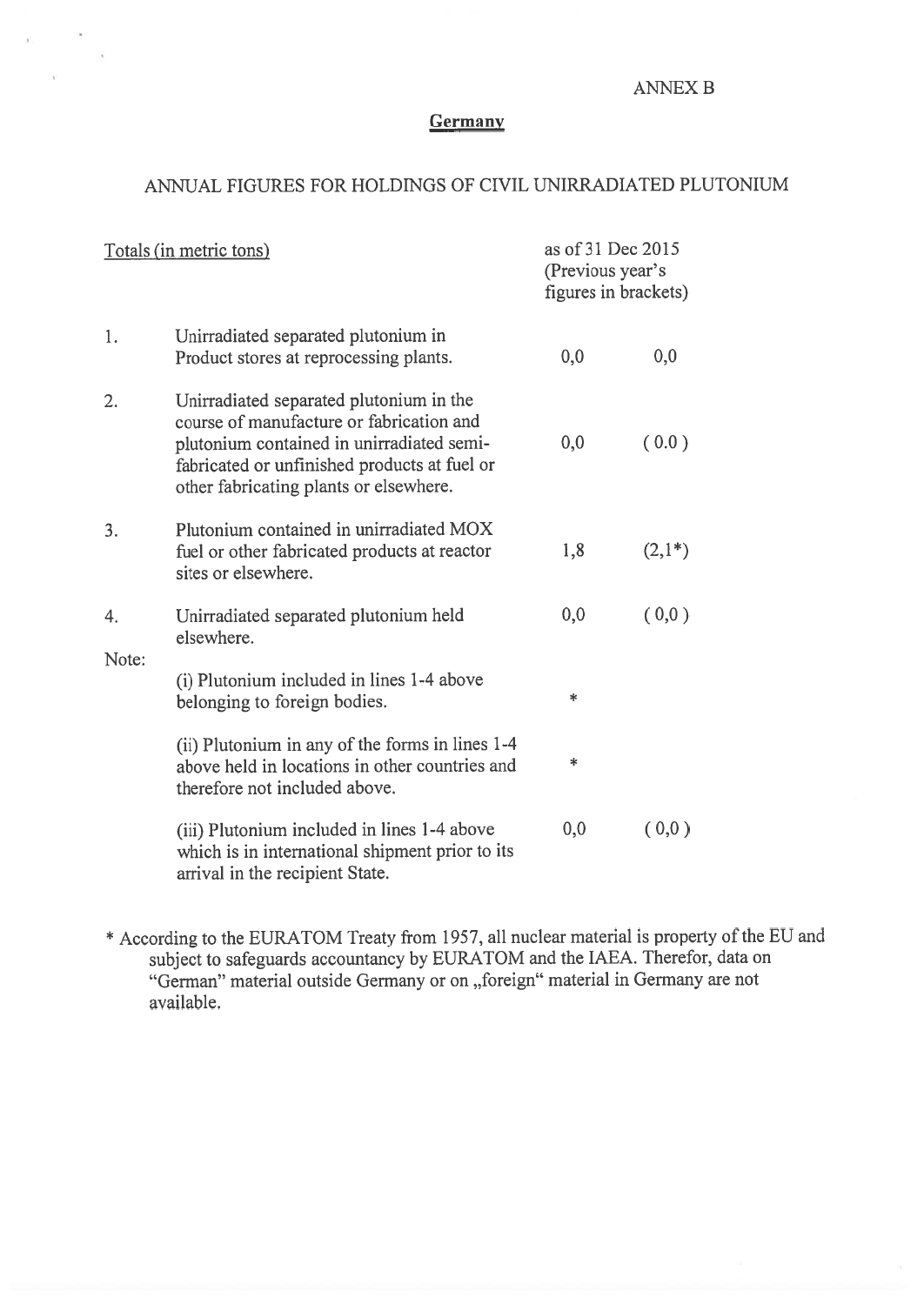#### **ANNEX B**

## Germany

#### ANNUAL FIGURES FOR HOLDINGS OF CIVIL UNIRRADIATED PLUTONIUM

| Totals (in metric tons) |                                                                                                                                                                                                                            | as of 31 Dec 2015<br>(Previous year's<br>figures in brackets) |           |
|-------------------------|----------------------------------------------------------------------------------------------------------------------------------------------------------------------------------------------------------------------------|---------------------------------------------------------------|-----------|
| 1.                      | Unirradiated separated plutonium in<br>Product stores at reprocessing plants.                                                                                                                                              | 0,0                                                           | 0,0       |
| 2.                      | Unirradiated separated plutonium in the<br>course of manufacture or fabrication and<br>plutonium contained in unirradiated semi-<br>fabricated or unfinished products at fuel or<br>other fabricating plants or elsewhere. | 0,0                                                           | (0.0)     |
| 3.                      | Plutonium contained in unirradiated MOX<br>fuel or other fabricated products at reactor<br>sites or elsewhere.                                                                                                             | 1,8                                                           | $(2,1^*)$ |
| 4.<br>Note:             | Unirradiated separated plutonium held<br>elsewhere.                                                                                                                                                                        | 0,0                                                           | (0,0)     |
|                         | (i) Plutonium included in lines 1-4 above<br>belonging to foreign bodies.                                                                                                                                                  | *                                                             |           |
|                         | (ii) Plutonium in any of the forms in lines 1-4<br>above held in locations in other countries and<br>therefore not included above.                                                                                         | $\ast$                                                        |           |
|                         | (iii) Plutonium included in lines 1-4 above<br>which is in international shipment prior to its<br>arrival in the recipient State.                                                                                          | 0,0                                                           | (0,0)     |

\* According to the EURATOM Treaty from 1957, all nuclear material is property of the EU and subject to safeguards accountancy by EURATOM and the IAEA. Therefor, data on "German" material outside Germany or on "foreign" material in Germany are not available.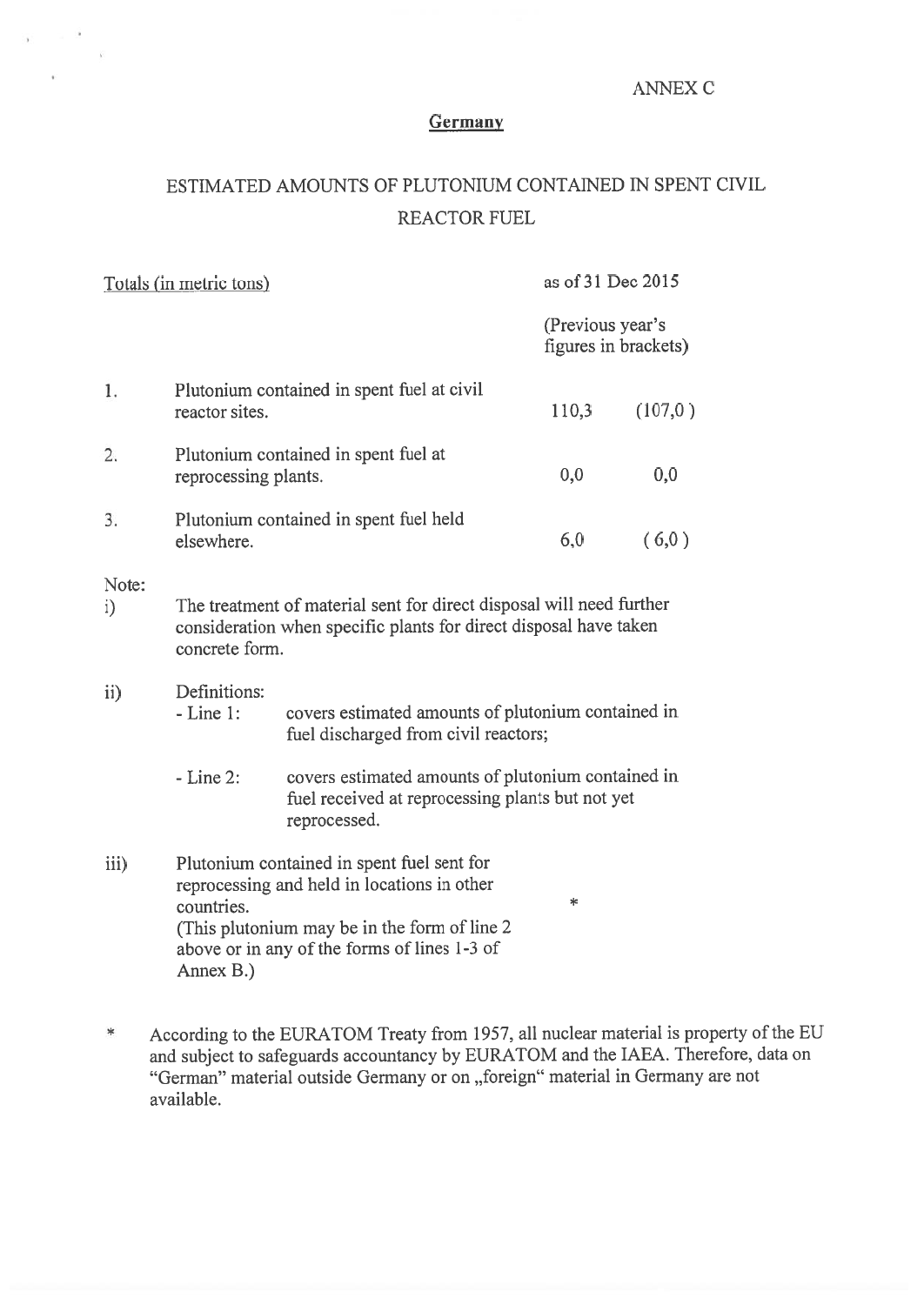#### ANNEX C

## Germany

# ESTIMATED AMOUNTS OF PLUTONIUM CONTAINED IN SPENT CIVIL REACTOR FUEL

| Totals (in metric tons) |                                                                                                                                                                                                                            |                                                                                            | as of 31 Dec 2015                        |         |  |  |  |
|-------------------------|----------------------------------------------------------------------------------------------------------------------------------------------------------------------------------------------------------------------------|--------------------------------------------------------------------------------------------|------------------------------------------|---------|--|--|--|
|                         |                                                                                                                                                                                                                            |                                                                                            | (Previous year's<br>figures in brackets) |         |  |  |  |
| 1.                      | Plutonium contained in spent fuel at civil<br>reactor sites.                                                                                                                                                               |                                                                                            | 110,3                                    | (107,0) |  |  |  |
| 2.                      | Plutonium contained in spent fuel at<br>reprocessing plants.                                                                                                                                                               |                                                                                            | 0,0                                      | 0,0     |  |  |  |
| 3.                      | Plutonium contained in spent fuel held<br>elsewhere.                                                                                                                                                                       |                                                                                            | 6,0                                      | (6,0)   |  |  |  |
| Note:<br>i)             | The treatment of material sent for direct disposal will need further<br>consideration when specific plants for direct disposal have taken<br>concrete form.                                                                |                                                                                            |                                          |         |  |  |  |
| $\mathbf{ii}$           | Definitions:<br>$-Line 1:$                                                                                                                                                                                                 | covers estimated amounts of plutonium contained in<br>fuel discharged from civil reactors; |                                          |         |  |  |  |
|                         | $-Line 2$ :<br>covers estimated amounts of plutonium contained in<br>fuel received at reprocessing plants but not yet<br>reprocessed.                                                                                      |                                                                                            |                                          |         |  |  |  |
| iii)                    | Plutonium contained in spent fuel sent for<br>reprocessing and held in locations in other<br>∗<br>countries.<br>(This plutonium may be in the form of line 2)<br>above or in any of the forms of lines 1-3 of<br>Annex B.) |                                                                                            |                                          |         |  |  |  |

According to the EURATOM Treaty from 1957, all nuclear material is property of the EU  $\ast$ and subject to safeguards accountancy by EURATOM and the IAEA. Therefore, data on "German" material outside Germany or on "foreign" material in Germany are not available.